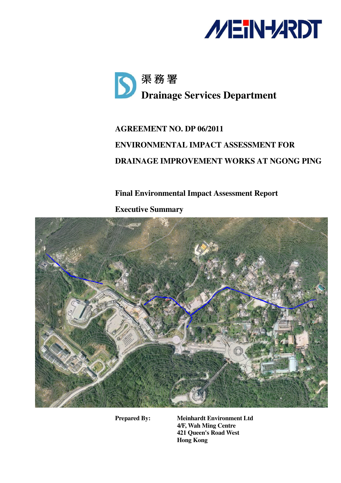



# **AGREEMENT NO. DP 06/2011 ENVIRONMENTAL IMPACT ASSESSMENT FOR DRAINAGE IMPROVEMENT WORKS AT NGONG PING**

# **Final Environmental Impact Assessment Report**

**Executive Summary** 



**Prepared By: Meinhardt Environment Ltd 4/F, Wah Ming Centre 421 Queen's Road West Hong Kong**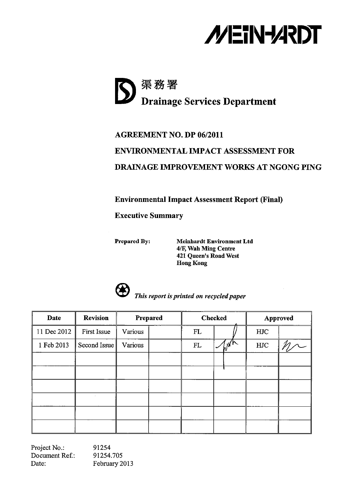



# **AGREEMENT NO. DP 06/2011 ENVIRONMENTAL IMPACT ASSESSMENT FOR** DRAINAGE IMPROVEMENT WORKS AT NGONG PING

**Environmental Impact Assessment Report (Final)** 

**Executive Summary** 

**Prepared By:** 

**Meinhardt Environment Ltd** 4/F, Wah Ming Centre 421 Queen's Road West **Hong Kong** 



This report is printed on recycled paper

| Date        | <b>Revision</b> |         | Prepared |    | <b>Checked</b> |     | <b>Approved</b> |
|-------------|-----------------|---------|----------|----|----------------|-----|-----------------|
| 11 Dec 2012 | First Issue     | Various |          | FL |                | HJC |                 |
| 1 Feb 2013  | Second Issue    | Various |          | FL | $\omega^{n'k}$ | HJC |                 |
|             |                 |         |          |    |                |     |                 |
|             |                 |         |          |    |                |     |                 |
|             |                 |         |          |    |                |     |                 |
|             |                 |         |          |    |                |     |                 |
|             |                 |         |          |    |                |     |                 |
|             |                 |         |          |    |                |     |                 |

91254 Project No.: Document Ref.: 91254.705 Date: February 2013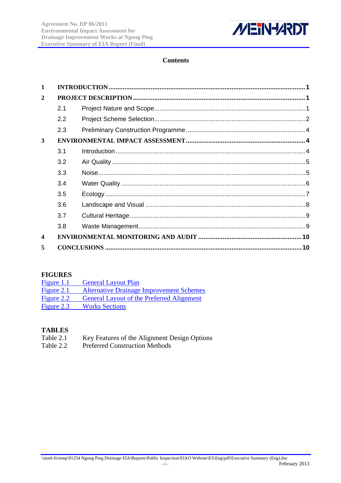

# **Contents**

| $\mathbf{1}$     |     |  |
|------------------|-----|--|
| $\overline{2}$   |     |  |
|                  | 2.1 |  |
|                  | 2.2 |  |
|                  | 2.3 |  |
| 3                |     |  |
|                  | 3.1 |  |
|                  | 3.2 |  |
|                  | 3.3 |  |
|                  | 3.4 |  |
|                  | 3.5 |  |
|                  | 3.6 |  |
|                  | 3.7 |  |
|                  | 3.8 |  |
| $\boldsymbol{4}$ |     |  |
| 5                |     |  |

# **FIGURES**

| Figure $1.1$ | <b>General Layout Plan</b>                       |
|--------------|--------------------------------------------------|
| Figure $2.1$ | <b>Alternative Drainage Improvement Schemes</b>  |
| Figure 2.2   | <b>General Layout of the Preferred Alignment</b> |
| Figure 2.3   | <b>Works Sections</b>                            |

## **TABLES**

- Table 2.1 Key Features of the Alignment Design Options
- Table 2.2 Preferred Construction Methods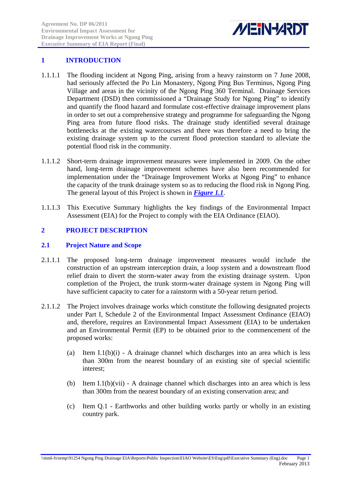

# <span id="page-3-0"></span>**1 INTRODUCTION**

- 1.1.1.1 The flooding incident at Ngong Ping, arising from a heavy rainstorm on 7 June 2008, had seriously affected the Po Lin Monastery, Ngong Ping Bus Terminus, Ngong Ping Village and areas in the vicinity of the Ngong Ping 360 Terminal. Drainage Services Department (DSD) then commissioned a "Drainage Study for Ngong Ping" to identify and quantify the flood hazard and formulate cost-effective drainage improvement plans in order to set out a comprehensive strategy and programme for safeguarding the Ngong Ping area from future flood risks. The drainage study identified several drainage bottlenecks at the existing watercourses and there was therefore a need to bring the existing drainage system up to the current flood protection standard to alleviate the potential flood risk in the community.
- 1.1.1.2 Short-term drainage improvement measures were implemented in 2009. On the other hand, long-term drainage improvement schemes have also been recommended for implementation under the "Drainage Improvement Works at Ngong Ping" to enhance the capacity of the trunk drainage system so as to reducing the flood risk in Ngong Ping. The general layout of this Project is shown in *Figure 1.1*.
- 1.1.1.3 This Executive Summary highlights the key findings of the Environmental Impact Assessment (EIA) for the Project to comply with the EIA Ordinance (EIAO).

# **2 PROJECT DESCRIPTION**

#### **2.1 Project Nature and Scope**

- 2.1.1.1 The proposed long-term drainage improvement measures would include the construction of an upstream interception drain, a loop system and a downstream flood relief drain to divert the storm-water away from the existing drainage system. Upon completion of the Project, the trunk storm-water drainage system in Ngong Ping will have sufficient capacity to cater for a rainstorm with a 50-year return period.
- 2.1.1.2 The Project involves drainage works which constitute the following designated projects under Part I, Schedule 2 of the Environmental Impact Assessment Ordinance (EIAO) and, therefore, requires an Environmental Impact Assessment (EIA) to be undertaken and an Environmental Permit (EP) to be obtained prior to the commencement of the proposed works:
	- (a) Item I.1(b) $(i)$  A drainage channel which discharges into an area which is less than 300m from the nearest boundary of an existing site of special scientific interest;
	- (b) Item I.1(b)(vii) A drainage channel which discharges into an area which is less than 300m from the nearest boundary of an existing conservation area; and
	- (c) Item Q.1 Earthworks and other building works partly or wholly in an existing country park.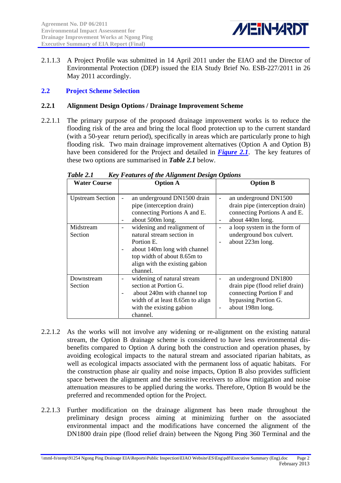

<span id="page-4-0"></span>2.1.1.3 A Project Profile was submitted in 14 April 2011 under the EIAO and the Director of Environmental Protection (DEP) issued the EIA Study Brief No. ESB-227/2011 in 26 May 2011 accordingly.

## **2.2 Project Scheme Selection**

#### **2.2.1 Alignment Design Options / Drainage Improvement Scheme**

2.2.1.1 The primary purpose of the proposed drainage improvement works is to reduce the flooding risk of the area and bring the local flood protection up to the current standard (with a 50-year return period), specifically in areas which are particularly prone to high flooding risk. Two main drainage improvement alternatives (Option A and Option B) have been considered for the Project and detailed in *Figure 2.1*. The key features of these two options are summarised in *[Table 2.1](#page-4-1)* below.

<span id="page-4-1"></span>

| <b>Water Course</b>     | <b>Option A</b>                                                                                                                                                                                                 | <b>Option B</b>                                                                                                                          |
|-------------------------|-----------------------------------------------------------------------------------------------------------------------------------------------------------------------------------------------------------------|------------------------------------------------------------------------------------------------------------------------------------------|
| <b>Upstream Section</b> | an underground DN1500 drain<br>$\overline{\phantom{a}}$<br>pipe (interception drain)<br>connecting Portions A and E.<br>about 500m long.<br>$\overline{\phantom{a}}$                                            | an underground DN1500<br>drain pipe (interception drain)<br>connecting Portions A and E.<br>about 440m long.<br>$\overline{\phantom{0}}$ |
| Midstream<br>Section    | widening and realignment of<br>natural stream section in<br>Portion E.<br>about 140m long with channel<br>$\overline{\phantom{a}}$<br>top width of about 8.65m to<br>align with the existing gabion<br>channel. | a loop system in the form of<br>-<br>underground box culvert.<br>about 223m long.                                                        |
| Downstream<br>Section   | widening of natural stream<br>section at Portion G.<br>about 240m with channel top<br>$\overline{\phantom{a}}$<br>width of at least 8.65m to align<br>with the existing gabion<br>channel.                      | an underground DN1800<br>drain pipe (flood relief drain)<br>connecting Portion F and<br>bypassing Portion G.<br>about 198m long.         |

*Table 2.1 Key Features of the Alignment Design Options* 

- 2.2.1.2 As the works will not involve any widening or re-alignment on the existing natural stream, the Option B drainage scheme is considered to have less environmental disbenefits compared to Option A during both the construction and operation phases, by avoiding ecological impacts to the natural stream and associated riparian habitats, as well as ecological impacts associated with the permanent loss of aquatic habitats. For the construction phase air quality and noise impacts, Option B also provides sufficient space between the alignment and the sensitive receivers to allow mitigation and noise attenuation measures to be applied during the works. Therefore, Option B would be the preferred and recommended option for the Project.
- 2.2.1.3 Further modification on the drainage alignment has been made throughout the preliminary design process aiming at minimizing further on the associated environmental impact and the modifications have concerned the alignment of the DN1800 drain pipe (flood relief drain) between the Ngong Ping 360 Terminal and the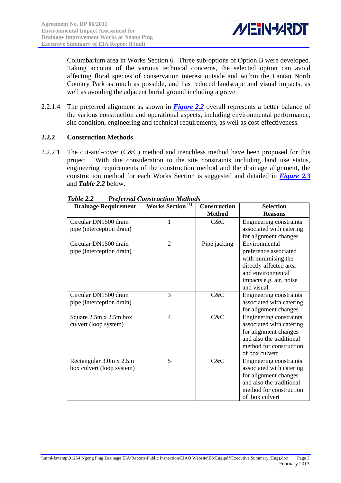

Columbarium area in Works Section 6. Three sub-options of Option B were developed. Taking account of the various technical concerns, the selected option can avoid affecting floral species of conservation interest outside and within the Lantau North Country Park as much as possible, and has reduced landscape and visual impacts, as well as avoiding the adjacent burial ground including a grave.

2.2.1.4 The preferred alignment as shown in *Figure 2.2* overall represents a better balance of the various construction and operational aspects, including environmental performance, site condition, engineering and technical requirements, as well as cost-effectiveness.

## **2.2.2 Construction Methods**

<span id="page-5-0"></span>2.2.2.1 The cut-and-cover (C&C) method and trenchless method have been proposed for this project. With due consideration to the site constraints including land use status, engineering requirements of the construction method and the drainage alignment, the construction method for each Works Section is suggested and detailed in *Figure 2.3* and *[Table 2.2](#page-5-0)* below.

| <b>Drainage Requirement</b>                          | <b>Works Section</b> <sup>(1)</sup> | <b>Construction</b> | <b>Selection</b>                                                                                                                                      |
|------------------------------------------------------|-------------------------------------|---------------------|-------------------------------------------------------------------------------------------------------------------------------------------------------|
|                                                      |                                     | <b>Method</b>       | <b>Reasons</b>                                                                                                                                        |
| Circular DN1500 drain<br>pipe (interception drain)   | 1                                   | C&C                 | Engineering constraints<br>associated with catering<br>for alignment changes                                                                          |
| Circular DN1500 drain<br>pipe (interception drain)   | $\overline{2}$                      | Pipe jacking        | Environmental<br>preference associated<br>with minimising the<br>directly affected area<br>and environmental<br>impacts e.g. air, noise<br>and visual |
| Circular DN1500 drain<br>pipe (interception drain)   | 3                                   | C&C                 | Engineering constraints<br>associated with catering<br>for alignment changes                                                                          |
| Square 2.5m x 2.5m box<br>culvert (loop system)      | 4                                   | C&C                 | Engineering constraints<br>associated with catering<br>for alignment changes<br>and also the traditional<br>method for construction<br>of box culvert |
| Rectangular 3.0m x 2.5m<br>box culvert (loop system) | 5                                   | C&C                 | Engineering constraints<br>associated with catering<br>for alignment changes<br>and also the traditional<br>method for construction<br>of box culvert |

| Table 2.2 | <b>Preferred Construction Methods</b> |  |
|-----------|---------------------------------------|--|
|           |                                       |  |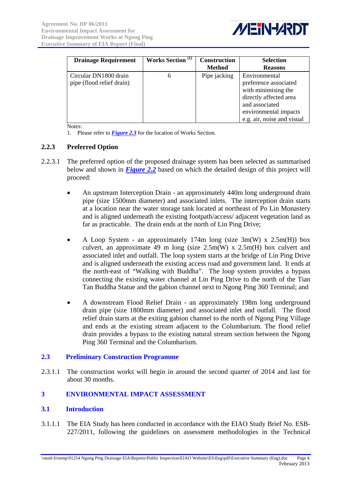

<span id="page-6-0"></span>

| <b>Drainage Requirement</b>                        | <b>Works Section</b> <sup>(1)</sup> | <b>Construction</b> | <b>Selection</b>                                                                                                                                                 |
|----------------------------------------------------|-------------------------------------|---------------------|------------------------------------------------------------------------------------------------------------------------------------------------------------------|
|                                                    |                                     | <b>Method</b>       | <b>Reasons</b>                                                                                                                                                   |
| Circular DN1800 drain<br>pipe (flood relief drain) | 6                                   | Pipe jacking        | Environmental<br>preference associated<br>with minimising the<br>directly affected area<br>and associated<br>environmental impacts<br>e.g. air, noise and visual |

Notes:

1. Please refer to *Figure 2.3* for the location of Works Section.

#### **2.2.3 Preferred Option**

- 2.2.3.1 The preferred option of the proposed drainage system has been selected as summarised below and shown in *Figure 2.2* based on which the detailed design of this project will proceed:
	- An upstream Interception Drain an approximately 440m long underground drain pipe (size 1500mm diameter) and associated inlets. The interception drain starts at a location near the water storage tank located at northeast of Po Lin Monastery and is aligned underneath the existing footpath/access/ adjacent vegetation land as far as practicable. The drain ends at the north of Lin Ping Drive;
	- A Loop System an approximately 174m long (size  $3m(W)$  x  $2.5m(H)$ ) box culvert, an approximate 49 m long (size  $2.5m(W)$  x  $2.5m(H)$  box culvert and associated inlet and outfall. The loop system starts at the bridge of Lin Ping Drive and is aligned underneath the existing access road and government land. It ends at the north-east of "Walking with Buddha". The loop system provides a bypass connecting the existing water channel at Lin Ping Drive to the north of the Tian Tan Buddha Statue and the gabion channel next to Ngong Ping 360 Terminal; and
	- A downstream Flood Relief Drain an approximately 198m long underground drain pipe (size 1800mm diameter) and associated inlet and outfall. The flood relief drain starts at the exiting gabion channel to the north of Ngong Ping Village and ends at the existing stream adjacent to the Columbarium. The flood relief drain provides a bypass to the existing natural stream section between the Ngong Ping 360 Terminal and the Columbarium.

## **2.3 Preliminary Construction Programme**

2.3.1.1 The construction works will begin in around the second quarter of 2014 and last for about 30 months.

## **3 ENVIRONMENTAL IMPACT ASSESSMENT**

#### **3.1 Introduction**

3.1.1.1 The EIA Study has been conducted in accordance with the EIAO Study Brief No. ESB-227/2011, following the guidelines on assessment methodologies in the Technical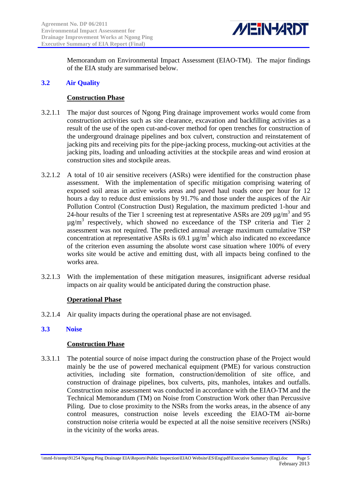

<span id="page-7-0"></span>Memorandum on Environmental Impact Assessment (EIAO-TM). The major findings of the EIA study are summarised below.

## **3.2 Air Quality**

#### **Construction Phase**

- 3.2.1.1 The major dust sources of Ngong Ping drainage improvement works would come from construction activities such as site clearance, excavation and backfilling activities as a result of the use of the open cut-and-cover method for open trenches for construction of the underground drainage pipelines and box culvert, construction and reinstatement of jacking pits and receiving pits for the pipe-jacking process, mucking-out activities at the jacking pits, loading and unloading activities at the stockpile areas and wind erosion at construction sites and stockpile areas.
- 3.2.1.2 A total of 10 air sensitive receivers (ASRs) were identified for the construction phase assessment. With the implementation of specific mitigation comprising watering of exposed soil areas in active works areas and paved haul roads once per hour for 12 hours a day to reduce dust emissions by 91.7% and those under the auspices of the Air Pollution Control (Construction Dust) Regulation, the maximum predicted 1-hour and 24-hour results of the Tier 1 screening test at representative ASRs are 209  $\mu$ g/m<sup>3</sup> and 95  $\mu$ g/m<sup>3</sup> respectively, which showed no exceedance of the TSP criteria and Tier 2 assessment was not required. The predicted annual average maximum cumulative TSP concentration at representative ASRs is 69.1  $\mu$ g/m<sup>3</sup> which also indicated no exceedance of the criterion even assuming the absolute worst case situation where 100% of every works site would be active and emitting dust, with all impacts being confined to the works area.
- 3.2.1.3 With the implementation of these mitigation measures, insignificant adverse residual impacts on air quality would be anticipated during the construction phase.

## **Operational Phase**

3.2.1.4 Air quality impacts during the operational phase are not envisaged.

## **3.3 Noise**

#### **Construction Phase**

3.3.1.1 The potential source of noise impact during the construction phase of the Project would mainly be the use of powered mechanical equipment (PME) for various construction activities, including site formation, construction/demolition of site office, and construction of drainage pipelines, box culverts, pits, manholes, intakes and outfalls. Construction noise assessment was conducted in accordance with the EIAO-TM and the Technical Memorandum (TM) on Noise from Construction Work other than Percussive Piling. Due to close proximity to the NSRs from the works areas, in the absence of any control measures, construction noise levels exceeding the EIAO-TM air-borne construction noise criteria would be expected at all the noise sensitive receivers (NSRs) in the vicinity of the works areas.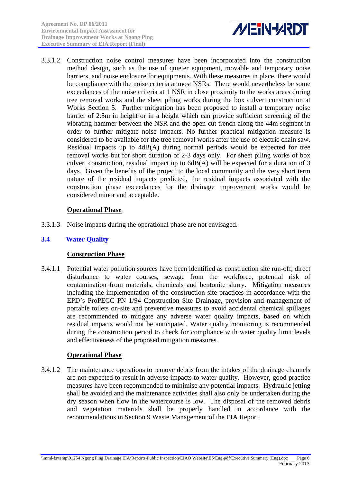

<span id="page-8-0"></span>3.3.1.2 Construction noise control measures have been incorporated into the construction method design, such as the use of quieter equipment, movable and temporary noise barriers, and noise enclosure for equipments. With these measures in place, there would be compliance with the noise criteria at most NSRs. There would nevertheless be some exceedances of the noise criteria at 1 NSR in close proximity to the works areas during tree removal works and the sheet piling works during the box culvert construction at Works Section 5. Further mitigation has been proposed to install a temporary noise barrier of 2.5m in height or in a height which can provide sufficient screening of the vibrating hammer between the NSR and the open cut trench along the 44m segment in order to further mitigate noise impacts**.** No further practical mitigation measure is considered to be available for the tree removal works after the use of electric chain saw. Residual impacts up to 4dB(A) during normal periods would be expected for tree removal works but for short duration of 2-3 days only. For sheet piling works of box culvert construction, residual impact up to 6dB(A) will be expected for a duration of 3 days. Given the benefits of the project to the local community and the very short term nature of the residual impacts predicted, the residual impacts associated with the construction phase exceedances for the drainage improvement works would be considered minor and acceptable.

## **Operational Phase**

3.3.1.3 Noise impacts during the operational phase are not envisaged.

## **3.4 Water Quality**

## **Construction Phase**

3.4.1.1 Potential water pollution sources have been identified as construction site run-off, direct disturbance to water courses, sewage from the workforce, potential risk of contamination from materials, chemicals and bentonite slurry. Mitigation measures including the implementation of the construction site practices in accordance with the EPD's ProPECC PN 1/94 Construction Site Drainage, provision and management of portable toilets on-site and preventive measures to avoid accidental chemical spillages are recommended to mitigate any adverse water quality impacts, based on which residual impacts would not be anticipated. Water quality monitoring is recommended during the construction period to check for compliance with water quality limit levels and effectiveness of the proposed mitigation measures.

## **Operational Phase**

3.4.1.2 The maintenance operations to remove debris from the intakes of the drainage channels are not expected to result in adverse impacts to water quality. However, good practice measures have been recommended to minimise any potential impacts. Hydraulic jetting shall be avoided and the maintenance activities shall also only be undertaken during the dry season when flow in the watercourse is low. The disposal of the removed debris and vegetation materials shall be properly handled in accordance with the recommendations in Section 9 Waste Management of the EIA Report.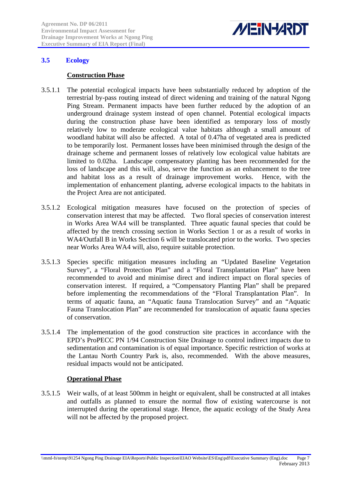

## <span id="page-9-0"></span>**3.5 Ecology**

#### **Construction Phase**

- 3.5.1.1 The potential ecological impacts have been substantially reduced by adoption of the terrestrial by-pass routing instead of direct widening and training of the natural Ngong Ping Stream. Permanent impacts have been further reduced by the adoption of an underground drainage system instead of open channel. Potential ecological impacts during the construction phase have been identified as temporary loss of mostly relatively low to moderate ecological value habitats although a small amount of woodland habitat will also be affected. A total of 0.47ha of vegetated area is predicted to be temporarily lost. Permanent losses have been minimised through the design of the drainage scheme and permanent losses of relatively low ecological value habitats are limited to 0.02ha. Landscape compensatory planting has been recommended for the loss of landscape and this will, also, serve the function as an enhancement to the tree and habitat loss as a result of drainage improvement works. Hence, with the implementation of enhancement planting, adverse ecological impacts to the habitats in the Project Area are not anticipated.
- 3.5.1.2 Ecological mitigation measures have focused on the protection of species of conservation interest that may be affected. Two floral species of conservation interest in Works Area WA4 will be transplanted. Three aquatic faunal species that could be affected by the trench crossing section in Works Section 1 or as a result of works in WA4/Outfall B in Works Section 6 will be translocated prior to the works. Two species near Works Area WA4 will, also, require suitable protection.
- 3.5.1.3 Species specific mitigation measures including an "Updated Baseline Vegetation Survey", a "Floral Protection Plan" and a "Floral Transplantation Plan" have been recommended to avoid and minimise direct and indirect impact on floral species of conservation interest. If required, a "Compensatory Planting Plan" shall be prepared before implementing the recommendations of the "Floral Transplantation Plan". In terms of aquatic fauna, an "Aquatic fauna Translocation Survey" and an "Aquatic Fauna Translocation Plan" are recommended for translocation of aquatic fauna species of conservation.
- 3.5.1.4 The implementation of the good construction site practices in accordance with the EPD's ProPECC PN 1/94 Construction Site Drainage to control indirect impacts due to sedimentation and contamination is of equal importance. Specific restriction of works at the Lantau North Country Park is, also, recommended. With the above measures, residual impacts would not be anticipated.

## **Operational Phase**

3.5.1.5 Weir walls, of at least 500mm in height or equivalent, shall be constructed at all intakes and outfalls as planned to ensure the normal flow of existing watercourse is not interrupted during the operational stage. Hence, the aquatic ecology of the Study Area will not be affected by the proposed project.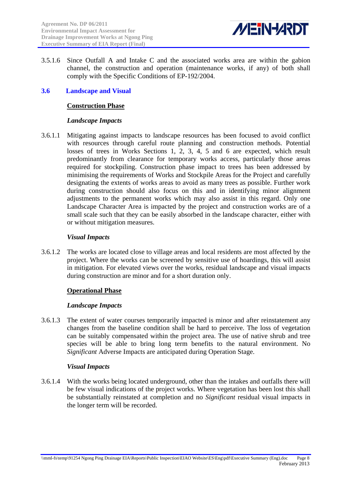

<span id="page-10-0"></span>3.5.1.6 Since Outfall A and Intake C and the associated works area are within the gabion channel, the construction and operation (maintenance works, if any) of both shall comply with the Specific Conditions of EP-192/2004.

#### **3.6 Landscape and Visual**

#### **Construction Phase**

#### *Landscape Impacts*

3.6.1.1 Mitigating against impacts to landscape resources has been focused to avoid conflict with resources through careful route planning and construction methods. Potential losses of trees in Works Sections 1, 2, 3, 4, 5 and 6 are expected, which result predominantly from clearance for temporary works access, particularly those areas required for stockpiling. Construction phase impact to trees has been addressed by minimising the requirements of Works and Stockpile Areas for the Project and carefully designating the extents of works areas to avoid as many trees as possible. Further work during construction should also focus on this and in identifying minor alignment adjustments to the permanent works which may also assist in this regard. Only one Landscape Character Area is impacted by the project and construction works are of a small scale such that they can be easily absorbed in the landscape character, either with or without mitigation measures.

#### *Visual Impacts*

3.6.1.2 The works are located close to village areas and local residents are most affected by the project. Where the works can be screened by sensitive use of hoardings, this will assist in mitigation. For elevated views over the works, residual landscape and visual impacts during construction are minor and for a short duration only.

#### **Operational Phase**

#### *Landscape Impacts*

3.6.1.3 The extent of water courses temporarily impacted is minor and after reinstatement any changes from the baseline condition shall be hard to perceive. The loss of vegetation can be suitably compensated within the project area. The use of native shrub and tree species will be able to bring long term benefits to the natural environment. No *Significant* Adverse Impacts are anticipated during Operation Stage.

#### *Visual Impacts*

3.6.1.4 With the works being located underground, other than the intakes and outfalls there will be few visual indications of the project works. Where vegetation has been lost this shall be substantially reinstated at completion and no *Significant* residual visual impacts in the longer term will be recorded.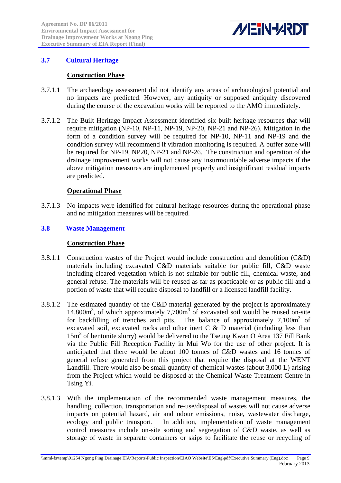

# <span id="page-11-0"></span>**3.7 Cultural Heritage**

#### **Construction Phase**

- 3.7.1.1 The archaeology assessment did not identify any areas of archaeological potential and no impacts are predicted. However, any antiquity or supposed antiquity discovered during the course of the excavation works will be reported to the AMO immediately.
- 3.7.1.2 The Built Heritage Impact Assessment identified six built heritage resources that will require mitigation (NP-10, NP-11, NP-19, NP-20, NP-21 and NP-26). Mitigation in the form of a condition survey will be required for NP-10, NP-11 and NP-19 and the condition survey will recommend if vibration monitoring is required. A buffer zone will be required for NP-19, NP20, NP-21 and NP-26. The construction and operation of the drainage improvement works will not cause any insurmountable adverse impacts if the above mitigation measures are implemented properly and insignificant residual impacts are predicted.

#### **Operational Phase**

3.7.1.3 No impacts were identified for cultural heritage resources during the operational phase and no mitigation measures will be required.

#### **3.8 Waste Management**

#### **Construction Phase**

- 3.8.1.1 Construction wastes of the Project would include construction and demolition (C&D) materials including excavated C&D materials suitable for public fill, C&D waste including cleared vegetation which is not suitable for public fill, chemical waste, and general refuse. The materials will be reused as far as practicable or as public fill and a portion of waste that will require disposal to landfill or a licensed landfill facility.
- 3.8.1.2 The estimated quantity of the C&D material generated by the project is approximately 14,800m<sup>3</sup>, of which approximately 7,700m<sup>3</sup> of excavated soil would be reused on-site for backfilling of trenches and pits. The balance of approximately  $7,100m^3$  of excavated soil, excavated rocks and other inert  $C \& D$  material (including less than 15m<sup>3</sup> of bentonite slurry) would be delivered to the Tseung Kwan O Area 137 Fill Bank via the Public Fill Reception Facility in Mui Wo for the use of other project. It is anticipated that there would be about 100 tonnes of C&D wastes and 16 tonnes of general refuse generated from this project that require the disposal at the WENT Landfill. There would also be small quantity of chemical wastes (about 3,000 L) arising from the Project which would be disposed at the Chemical Waste Treatment Centre in Tsing Yi.
- 3.8.1.3 With the implementation of the recommended waste management measures, the handling, collection, transportation and re-use/disposal of wastes will not cause adverse impacts on potential hazard, air and odour emissions, noise, wastewater discharge, ecology and public transport. In addition, implementation of waste management control measures include on-site sorting and segregation of C&D waste, as well as storage of waste in separate containers or skips to facilitate the reuse or recycling of

\\mml-fs\temp\91254 Ngong Ping Drainage EIA\Reports\Public Inspection\EIAO Website\ES\Eng\pdf\Executive Summary (Eng).doc Page 9 February 2013